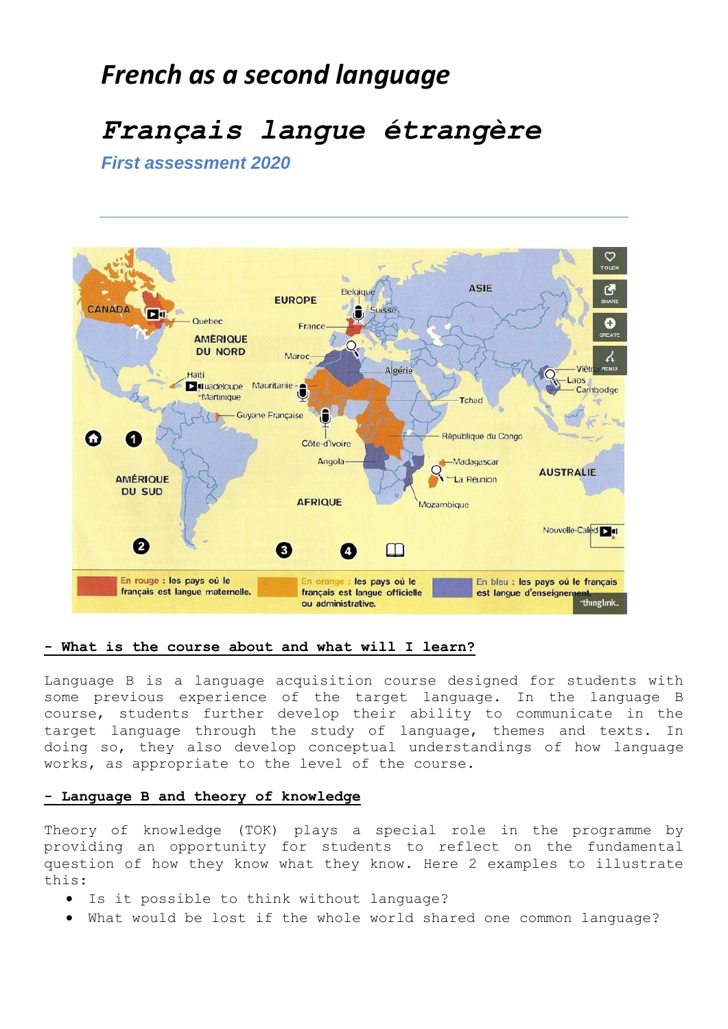# *French as a second language*

# *Français langue étrangère*

*First assessment 2020*



## **- What is the course about and what will I learn?**

Language B is a language acquisition course designed for students with some previous experience of the target language. In the language B course, students further develop their ability to communicate in the target language through the study of language, themes and texts. In doing so, they also develop conceptual understandings of how language works, as appropriate to the level of the course.

# **- Language B and theory of knowledge**

Theory of knowledge (TOK) plays a special role in the programme by providing an opportunity for students to reflect on the fundamental question of how they know what they know. Here 2 examples to illustrate this:

- Is it possible to think without language?
- What would be lost if the whole world shared one common language?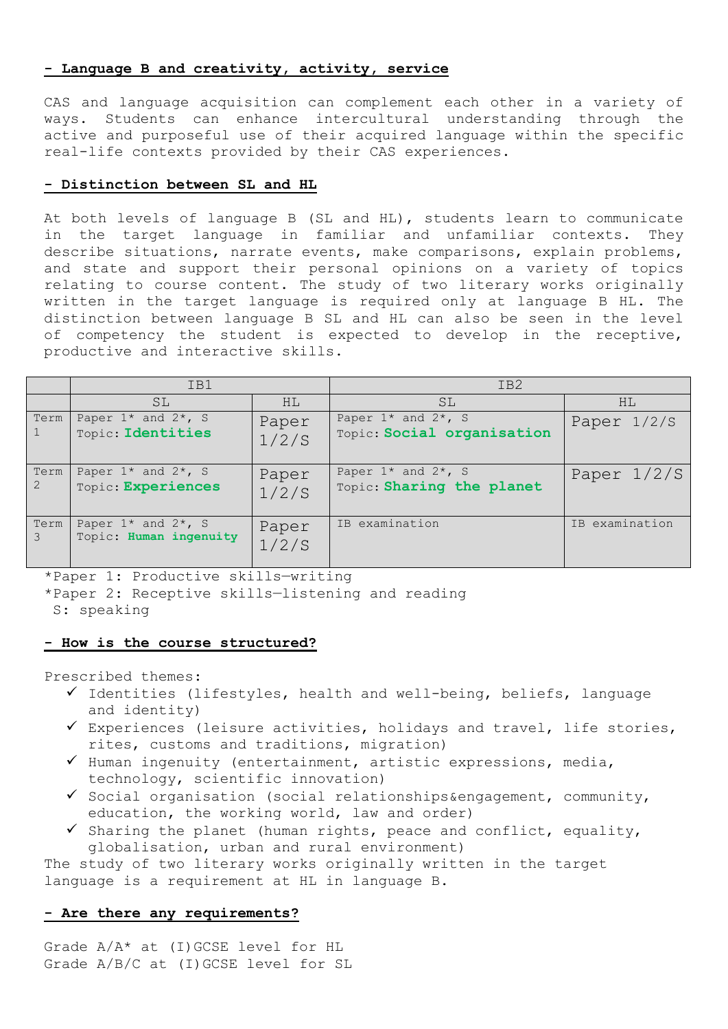#### **- Language B and creativity, activity, service**

CAS and language acquisition can complement each other in a variety of ways. Students can enhance intercultural understanding through the active and purposeful use of their acquired language within the specific real-life contexts provided by their CAS experiences.

### **- Distinction between SL and HL**

At both levels of language B (SL and HL), students learn to communicate in the target language in familiar and unfamiliar contexts. They describe situations, narrate events, make comparisons, explain problems, and state and support their personal opinions on a variety of topics relating to course content. The study of two literary works originally written in the target language is required only at language B HL. The distinction between language B SL and HL can also be seen in the level of competency the student is expected to develop in the receptive, productive and interactive skills.

|                        | IB1                                               |                | IB <sub>2</sub>                                       |                               |
|------------------------|---------------------------------------------------|----------------|-------------------------------------------------------|-------------------------------|
|                        | <b>SL</b>                                         | HL.            | SL                                                    | HL.                           |
| Term                   | Paper $1*$ and $2*$ , S<br>Topic: Identities      | Paper<br>1/2/S | Paper $1*$ and $2*$ , S<br>Topic: Social organisation | Paper $1/2/S$                 |
| Term<br>$\overline{2}$ | Paper $1*$ and $2*$ , S<br>Topic: Experiences     | Paper<br>1/2/S | Paper $1*$ and $2*$ , S<br>Topic: Sharing the planet  | Paper 1/2/S                   |
| Term<br>3              | Paper $1*$ and $2*$ , S<br>Topic: Human ingenuity | Paper<br>1/2/S | IB examination                                        | examination<br>T <sub>B</sub> |

\*Paper 1: Productive skills—writing

\*Paper 2: Receptive skills—listening and reading

S: speaking

#### **- How is the course structured?**

Prescribed themes:

- $\checkmark$  Identities (lifestyles, health and well-being, beliefs, language and identity)
- $\checkmark$  Experiences (leisure activities, holidays and travel, life stories, rites, customs and traditions, migration)
- $\checkmark$  Human ingenuity (entertainment, artistic expressions, media, technology, scientific innovation)
- $\checkmark$  Social organisation (social relationships&engagement, community, education, the working world, law and order)
- $\checkmark$  Sharing the planet (human rights, peace and conflict, equality, globalisation, urban and rural environment)

The study of two literary works originally written in the target language is a requirement at HL in language B.

## **- Are there any requirements?**

Grade A/A\* at (I)GCSE level for HL Grade A/B/C at (I)GCSE level for SL